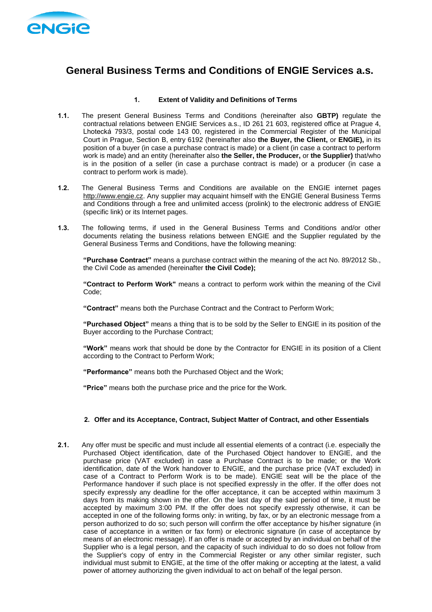

# **General Business Terms and Conditions of ENGIE Services a.s.**

# **1. Extent of Validity and Definitions of Terms**

- **1.1.** The present General Business Terms and Conditions (hereinafter also **GBTP)** regulate the contractual relations between ENGIE Services a.s., ID 261 21 603, registered office at Prague 4, Lhotecká 793/3, postal code 143 00, registered in the Commercial Register of the Municipal Court in Prague, Section B, entry 6192 (hereinafter also **the Buyer, the Client,** or **ENGIE),** in its position of a buyer (in case a purchase contract is made) or a client (in case a contract to perform work is made) and an entity (hereinafter also **the Seller, the Producer,** or **the Supplier)** that/who is in the position of a seller (in case a purchase contract is made) or a producer (in case a contract to perform work is made).
- **1.2.** The General Business Terms and Conditions are available on the ENGIE internet pages [http://www.engie.cz.](http://www.cofelv.cz/) Any supplier may acquaint himself with the ENGIE General Business Terms and Conditions through a free and unlimited access (prolink) to the electronic address of ENGIE (specific link) or its Internet pages.
- **1.3.** The following terms, if used in the General Business Terms and Conditions and/or other documents relating the business relations between ENGIE and the Supplier regulated by the General Business Terms and Conditions, have the following meaning:

**"Purchase Contract"** means a purchase contract within the meaning of the act No. 89/2012 Sb., the Civil Code as amended (hereinafter **the Civil Code);**

**"Contract to Perform Work"** means a contract to perform work within the meaning of the Civil Code;

**"Contract"** means both the Purchase Contract and the Contract to Perform Work;

**"Purchased Object"** means a thing that is to be sold by the Seller to ENGIE in its position of the Buyer according to the Purchase Contract;

**"Work"** means work that should be done by the Contractor for ENGIE in its position of a Client according to the Contract to Perform Work;

**"Performance"** means both the Purchased Object and the Work;

**"Price"** means both the purchase price and the price for the Work.

## **2. Offer and its Acceptance, Contract, Subject Matter of Contract, and other Essentials**

**2.1.** Any offer must be specific and must include all essential elements of a contract (i.e. especially the Purchased Object identification, date of the Purchased Object handover to ENGIE, and the purchase price (VAT excluded) in case a Purchase Contract is to be made; or the Work identification, date of the Work handover to ENGIE, and the purchase price (VAT excluded) in case of a Contract to Perform Work is to be made). ENGIE seat will be the place of the Performance handover if such place is not specified expressly in the offer. If the offer does not specify expressly any deadline for the offer acceptance, it can be accepted within maximum 3 days from its making shown in the offer. On the last day of the said period of time, it must be accepted by maximum 3:00 PM. If the offer does not specify expressly otherwise, it can be accepted in one of the following forms only: in writing, by fax, or by an electronic message from a person authorized to do so; such person will confirm the offer acceptance by his/her signature (in case of acceptance in a written or fax form) or electronic signature (in case of acceptance by means of an electronic message). If an offer is made or accepted by an individual on behalf of the Supplier who is a legal person, and the capacity of such individual to do so does not follow from the Supplier's copy of entry in the Commercial Register or any other similar register, such individual must submit to ENGIE, at the time of the offer making or accepting at the latest, a valid power of attorney authorizing the given individual to act on behalf of the legal person.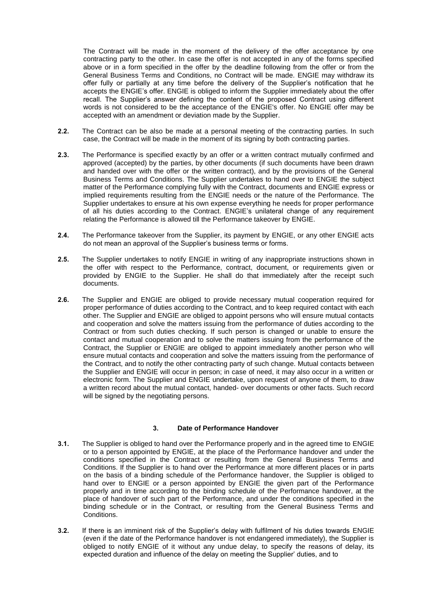The Contract will be made in the moment of the delivery of the offer acceptance by one contracting party to the other. In case the offer is not accepted in any of the forms specified above or in a form specified in the offer by the deadline following from the offer or from the General Business Terms and Conditions, no Contract will be made. ENGIE may withdraw its offer fully or partially at any time before the delivery of the Supplier's notification that he accepts the ENGIE's offer. ENGIE is obliged to inform the Supplier immediately about the offer recall. The Supplier's answer defining the content of the proposed Contract using different words is not considered to be the acceptance of the ENGIE's offer. No ENGIE offer may be accepted with an amendment or deviation made by the Supplier.

- **2.2.** The Contract can be also be made at a personal meeting of the contracting parties. In such case, the Contract will be made in the moment of its signing by both contracting parties.
- **2.3.** The Performance is specified exactly by an offer or a written contract mutually confirmed and approved (accepted) by the parties, by other documents (if such documents have been drawn and handed over with the offer or the written contract), and by the provisions of the General Business Terms and Conditions. The Supplier undertakes to hand over to ENGIE the subject matter of the Performance complying fully with the Contract, documents and ENGIE express or implied requirements resulting from the ENGIE needs or the nature of the Performance. The Supplier undertakes to ensure at his own expense everything he needs for proper performance of all his duties according to the Contract. ENGIE's unilateral change of any requirement relating the Performance is allowed till the Performance takeover by ENGIE.
- **2.4.** The Performance takeover from the Supplier, its payment by ENGIE, or any other ENGIE acts do not mean an approval of the Supplier's business terms or forms.
- **2.5.** The Supplier undertakes to notify ENGIE in writing of any inappropriate instructions shown in the offer with respect to the Performance, contract, document, or requirements given or provided by ENGIE to the Supplier. He shall do that immediately after the receipt such documents.
- **2.6.** The Supplier and ENGIE are obliged to provide necessary mutual cooperation required for proper performance of duties according to the Contract, and to keep required contact with each other. The Supplier and ENGIE are obliged to appoint persons who will ensure mutual contacts and cooperation and solve the matters issuing from the performance of duties according to the Contract or from such duties checking. If such person is changed or unable to ensure the contact and mutual cooperation and to solve the matters issuing from the performance of the Contract, the Supplier or ENGIE are obliged to appoint immediately another person who will ensure mutual contacts and cooperation and solve the matters issuing from the performance of the Contract, and to notify the other contracting party of such change. Mutual contacts between the Supplier and ENGIE will occur in person; in case of need, it may also occur in a written or electronic form. The Supplier and ENGIE undertake, upon request of anyone of them, to draw a written record about the mutual contact, handed- over documents or other facts. Such record will be signed by the negotiating persons.

#### **3. Date of Performance Handover**

- **3.1.** The Supplier is obliged to hand over the Performance properly and in the agreed time to ENGIE or to a person appointed by ENGIE, at the place of the Performance handover and under the conditions specified in the Contract or resulting from the General Business Terms and Conditions. If the Supplier is to hand over the Performance at more different places or in parts on the basis of a binding schedule of the Performance handover, the Supplier is obliged to hand over to ENGIE or a person appointed by ENGIE the given part of the Performance properly and in time according to the binding schedule of the Performance handover, at the place of handover of such part of the Performance, and under the conditions specified in the binding schedule or in the Contract, or resulting from the General Business Terms and Conditions.
- **3.2.** If there is an imminent risk of the Supplier's delay with fulfilment of his duties towards ENGIE (even if the date of the Performance handover is not endangered immediately), the Supplier is obliged to notify ENGIE of it without any undue delay, to specify the reasons of delay, its expected duration and influence of the delay on meeting the Supplier' duties, and to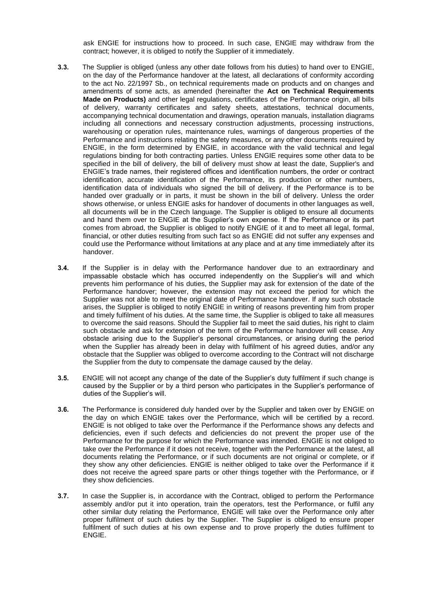ask ENGIE for instructions how to proceed. In such case, ENGIE may withdraw from the contract; however, it is obliged to notify the Supplier of it immediately.

- **3.3.** The Supplier is obliged (unless any other date follows from his duties) to hand over to ENGIE, on the day of the Performance handover at the latest, all declarations of conformity according to the act No. 22/1997 Sb., on technical requirements made on products and on changes and amendments of some acts, as amended (hereinafter the **Act on Technical Requirements Made on Products)** and other legal regulations, certificates of the Performance origin, all bills of delivery, warranty certificates and safety sheets, attestations, technical documents, accompanying technical documentation and drawings, operation manuals, installation diagrams including all connections and necessary construction adjustments, processing instructions, warehousing or operation rules, maintenance rules, warnings of dangerous properties of the Performance and instructions relating the safety measures, or any other documents required by ENGIE, in the form determined by ENGIE, in accordance with the valid technical and legal regulations binding for both contracting parties. Unless ENGIE requires some other data to be specified in the bill of delivery, the bill of delivery must show at least the date, Supplier's and ENGIE's trade names, their registered offices and identification numbers, the order or contract identification, accurate identification of the Performance, its production or other numbers, identification data of individuals who signed the bill of delivery. If the Performance is to be handed over gradually or in parts, it must be shown in the bill of delivery. Unless the order shows otherwise, or unless ENGIE asks for handover of documents in other languages as well, all documents will be in the Czech language. The Supplier is obliged to ensure all documents and hand them over to ENGIE at the Supplier's own expense. If the Performance or its part comes from abroad, the Supplier is obliged to notify ENGIE of it and to meet all legal, formal, financial, or other duties resulting from such fact so as ENGIE did not suffer any expenses and could use the Performance without limitations at any place and at any time immediately after its handover.
- **3.4.** If the Supplier is in delay with the Performance handover due to an extraordinary and impassable obstacle which has occurred independently on the Supplier's will and which prevents him performance of his duties, the Supplier may ask for extension of the date of the Performance handover; however, the extension may not exceed the period for which the Supplier was not able to meet the original date of Performance handover. If any such obstacle arises, the Supplier is obliged to notify ENGIE in writing of reasons preventing him from proper and timely fulfilment of his duties. At the same time, the Supplier is obliged to take all measures to overcome the said reasons. Should the Supplier fail to meet the said duties, his right to claim such obstacle and ask for extension of the term of the Performance handover will cease. Any obstacle arising due to the Supplier's personal circumstances, or arising during the period when the Supplier has already been in delay with fulfilment of his agreed duties, and/or any obstacle that the Supplier was obliged to overcome according to the Contract will not discharge the Supplier from the duty to compensate the damage caused by the delay.
- **3.5.** ENGIE will not accept any change of the date of the Supplier's duty fulfilment if such change is caused by the Supplier or by a third person who participates in the Supplier's performance of duties of the Supplier's will.
- **3.6.** The Performance is considered duly handed over by the Supplier and taken over by ENGIE on the day on which ENGIE takes over the Performance, which will be certified by a record. ENGIE is not obliged to take over the Performance if the Performance shows any defects and deficiencies, even if such defects and deficiencies do not prevent the proper use of the Performance for the purpose for which the Performance was intended. ENGIE is not obliged to take over the Performance if it does not receive, together with the Performance at the latest, all documents relating the Performance, or if such documents are not original or complete, or if they show any other deficiencies. ENGIE is neither obliged to take over the Performance if it does not receive the agreed spare parts or other things together with the Performance, or if they show deficiencies.
- **3.7.** In case the Supplier is, in accordance with the Contract, obliged to perform the Performance assembly and/or put it into operation, train the operators, test the Performance, or fulfil any other similar duty relating the Performance, ENGIE will take over the Performance only after proper fulfilment of such duties by the Supplier. The Supplier is obliged to ensure proper fulfilment of such duties at his own expense and to prove properly the duties fulfilment to ENGIE.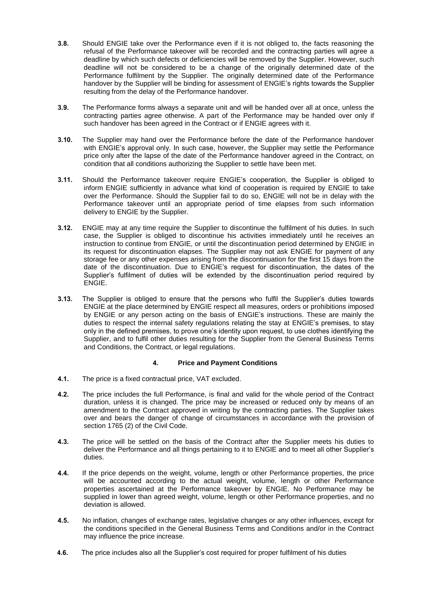- **3.8.** Should ENGIE take over the Performance even if it is not obliged to, the facts reasoning the refusal of the Performance takeover will be recorded and the contracting parties will agree a deadline by which such defects or deficiencies will be removed by the Supplier. However, such deadline will not be considered to be a change of the originally determined date of the Performance fulfilment by the Supplier. The originally determined date of the Performance handover by the Supplier will be binding for assessment of ENGIE's rights towards the Supplier resulting from the delay of the Performance handover.
- **3.9.** The Performance forms always a separate unit and will be handed over all at once, unless the contracting parties agree otherwise. A part of the Performance may be handed over only if such handover has been agreed in the Contract or if ENGIE agrees with it.
- **3.10.** The Supplier may hand over the Performance before the date of the Performance handover with ENGIE's approval only. In such case, however, the Supplier may settle the Performance price only after the lapse of the date of the Performance handover agreed in the Contract, on condition that all conditions authorizing the Supplier to settle have been met.
- **3.11.** Should the Performance takeover require ENGIE's cooperation, the Supplier is obliged to inform ENGIE sufficiently in advance what kind of cooperation is required by ENGIE to take over the Performance. Should the Supplier fail to do so, ENGIE will not be in delay with the Performance takeover until an appropriate period of time elapses from such information delivery to ENGIE by the Supplier.
- **3.12.** ENGIE may at any time require the Supplier to discontinue the fulfilment of his duties. In such case, the Supplier is obliged to discontinue his activities immediately until he receives an instruction to continue from ENGIE, or until the discontinuation period determined by ENGIE in its request for discontinuation elapses. The Supplier may not ask ENGIE for payment of any storage fee or any other expenses arising from the discontinuation for the first 15 days from the date of the discontinuation. Due to ENGIE's request for discontinuation, the dates of the Supplier's fulfilment of duties will be extended by the discontinuation period required by ENGIE.
- **3.13.** The Supplier is obliged to ensure that the persons who fulfil the Supplier's duties towards ENGIE at the place determined by ENGIE respect all measures, orders or prohibitions imposed by ENGIE or any person acting on the basis of ENGIE's instructions. These are mainly the duties to respect the internal safety regulations relating the stay at ENGIE's premises, to stay only in the defined premises, to prove one's identity upon request, to use clothes identifying the Supplier, and to fulfil other duties resulting for the Supplier from the General Business Terms and Conditions, the Contract, or legal regulations.

## **4. Price and Payment Conditions**

- **4.1.** The price is a fixed contractual price, VAT excluded.
- **4.2.** The price includes the full Performance, is final and valid for the whole period of the Contract duration, unless it is changed. The price may be increased or reduced only by means of an amendment to the Contract approved in writing by the contracting parties. The Supplier takes over and bears the danger of change of circumstances in accordance with the provision of section 1765 (2) of the Civil Code.
- **4.3.** The price will be settled on the basis of the Contract after the Supplier meets his duties to deliver the Performance and all things pertaining to it to ENGIE and to meet all other Supplier's duties.
- **4.4.** If the price depends on the weight, volume, length or other Performance properties, the price will be accounted according to the actual weight, volume, length or other Performance properties ascertained at the Performance takeover by ENGIE. No Performance may be supplied in lower than agreed weight, volume, length or other Performance properties, and no deviation is allowed.
- **4.5.** No inflation, changes of exchange rates, legislative changes or any other influences, except for the conditions specified in the General Business Terms and Conditions and/or in the Contract may influence the price increase.
- **4.6.** The price includes also all the Supplier's cost required for proper fulfilment of his duties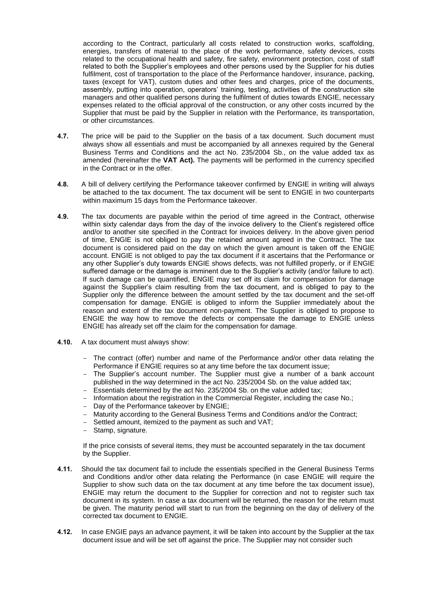according to the Contract, particularly all costs related to construction works, scaffolding, energies, transfers of material to the place of the work performance, safety devices, costs related to the occupational health and safety, fire safety, environment protection, cost of staff related to both the Supplier's employees and other persons used by the Supplier for his duties fulfilment, cost of transportation to the place of the Performance handover, insurance, packing, taxes (except for VAT), custom duties and other fees and charges, price of the documents, assembly, putting into operation, operators' training, testing, activities of the construction site managers and other qualified persons during the fulfilment of duties towards ENGIE, necessary expenses related to the official approval of the construction, or any other costs incurred by the Supplier that must be paid by the Supplier in relation with the Performance, its transportation, or other circumstances.

- **4.7.** The price will be paid to the Supplier on the basis of a tax document. Such document must always show all essentials and must be accompanied by all annexes required by the General Business Terms and Conditions and the act No. 235/2004 Sb., on the value added tax as amended (hereinafter the **VAT Act).** The payments will be performed in the currency specified in the Contract or in the offer.
- **4.8.** A bill of delivery certifying the Performance takeover confirmed by ENGIE in writing will always be attached to the tax document. The tax document will be sent to ENGIE in two counterparts within maximum 15 days from the Performance takeover.
- **4.9.** The tax documents are payable within the period of time agreed in the Contract, otherwise within sixty calendar days from the day of the invoice delivery to the Client's registered office and/or to another site specified in the Contract for invoices delivery. In the above given period of time, ENGIE is not obliged to pay the retained amount agreed in the Contract. The tax document is considered paid on the day on which the given amount is taken off the ENGIE account. ENGIE is not obliged to pay the tax document if it ascertains that the Performance or any other Supplier's duty towards ENGIE shows defects, was not fulfilled properly, or if ENGIE suffered damage or the damage is imminent due to the Supplier's activity (and/or failure to act). If such damage can be quantified, ENGIE may set off its claim for compensation for damage against the Supplier's claim resulting from the tax document, and is obliged to pay to the Supplier only the difference between the amount settled by the tax document and the set-off compensation for damage. ENGIE is obliged to inform the Supplier immediately about the reason and extent of the tax document non-payment. The Supplier is obliged to propose to ENGIE the way how to remove the defects or compensate the damage to ENGIE unless ENGIE has already set off the claim for the compensation for damage.
- **4.10.** A tax document must always show:
	- $-$  The contract (offer) number and name of the Performance and/or other data relating the Performance if ENGIE requires so at any time before the tax document issue;
	- The Supplier's account number. The Supplier must give a number of a bank account published in the way determined in the act No. 235/2004 Sb. on the value added tax;
	- Essentials determined by the act No. 235/2004 Sb. on the value added tax;
	- Information about the registration in the Commercial Register, including the case No.;
	- Day of the Performance takeover by ENGIE;
	- Maturity according to the General Business Terms and Conditions and/or the Contract;
	- Settled amount, itemized to the payment as such and VAT;
	- Stamp, signature.

If the price consists of several items, they must be accounted separately in the tax document by the Supplier.

- **4.11.** Should the tax document fail to include the essentials specified in the General Business Terms and Conditions and/or other data relating the Performance (in case ENGIE will require the Supplier to show such data on the tax document at any time before the tax document issue), ENGIE may return the document to the Supplier for correction and not to register such tax document in its system. In case a tax document will be returned, the reason for the return must be given. The maturity period will start to run from the beginning on the day of delivery of the corrected tax document to ENGIE.
- **4.12.** In case ENGIE pays an advance payment, it will be taken into account by the Supplier at the tax document issue and will be set off against the price. The Supplier may not consider such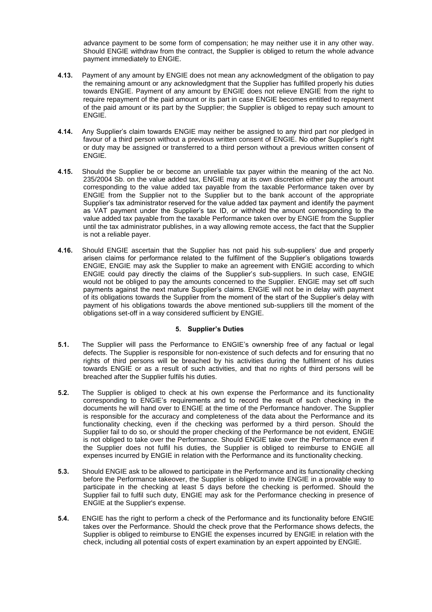advance payment to be some form of compensation; he may neither use it in any other way. Should ENGIE withdraw from the contract, the Supplier is obliged to return the whole advance payment immediately to ENGIE.

- **4.13.** Payment of any amount by ENGIE does not mean any acknowledgment of the obligation to pay the remaining amount or any acknowledgment that the Supplier has fulfilled properly his duties towards ENGIE. Payment of any amount by ENGIE does not relieve ENGIE from the right to require repayment of the paid amount or its part in case ENGIE becomes entitled to repayment of the paid amount or its part by the Supplier; the Supplier is obliged to repay such amount to ENGIE.
- **4.14.** Any Supplier's claim towards ENGIE may neither be assigned to any third part nor pledged in favour of a third person without a previous written consent of ENGIE. No other Supplier's right or duty may be assigned or transferred to a third person without a previous written consent of ENGIE.
- **4.15.** Should the Supplier be or become an unreliable tax payer within the meaning of the act No. 235/2004 Sb. on the value added tax, ENGIE may at its own discretion either pay the amount corresponding to the value added tax payable from the taxable Performance taken over by ENGIE from the Supplier not to the Supplier but to the bank account of the appropriate Supplier's tax administrator reserved for the value added tax payment and identify the payment as VAT payment under the Supplier's tax ID, or withhold the amount corresponding to the value added tax payable from the taxable Performance taken over by ENGIE from the Supplier until the tax administrator publishes, in a way allowing remote access, the fact that the Supplier is not a reliable payer.
- **4.16.** Should ENGIE ascertain that the Supplier has not paid his sub-suppliers' due and properly arisen claims for performance related to the fulfilment of the Supplier's obligations towards ENGIE, ENGIE may ask the Supplier to make an agreement with ENGIE according to which ENGIE could pay directly the claims of the Supplier's sub-suppliers. In such case, ENGIE would not be obliged to pay the amounts concerned to the Supplier. ENGIE may set off such payments against the next mature Supplier's claims. ENGIE will not be in delay with payment of its obligations towards the Supplier from the moment of the start of the Supplier's delay with payment of his obligations towards the above mentioned sub-suppliers till the moment of the obligations set-off in a way considered sufficient by ENGIE.

## **5. Supplier's Duties**

- **5.1.** The Supplier will pass the Performance to ENGIE's ownership free of any factual or legal defects. The Supplier is responsible for non-existence of such defects and for ensuring that no rights of third persons will be breached by his activities during the fulfilment of his duties towards ENGIE or as a result of such activities, and that no rights of third persons will be breached after the Supplier fulfils his duties.
- **5.2.** The Supplier is obliged to check at his own expense the Performance and its functionality corresponding to ENGIE's requirements and to record the result of such checking in the documents he will hand over to ENGIE at the time of the Performance handover. The Supplier is responsible for the accuracy and completeness of the data about the Performance and its functionality checking, even if the checking was performed by a third person. Should the Supplier fail to do so, or should the proper checking of the Performance be not evident, ENGIE is not obliged to take over the Performance. Should ENGIE take over the Performance even if the Supplier does not fulfil his duties, the Supplier is obliged to reimburse to ENGIE all expenses incurred by ENGIE in relation with the Performance and its functionality checking.
- **5.3.** Should ENGIE ask to be allowed to participate in the Performance and its functionality checking before the Performance takeover, the Supplier is obliged to invite ENGIE in a provable way to participate in the checking at least 5 days before the checking is performed. Should the Supplier fail to fulfil such duty, ENGIE may ask for the Performance checking in presence of ENGIE at the Supplier's expense.
- **5.4.** ENGIE has the right to perform a check of the Performance and its functionality before ENGIE takes over the Performance. Should the check prove that the Performance shows defects, the Supplier is obliged to reimburse to ENGIE the expenses incurred by ENGIE in relation with the check, including all potential costs of expert examination by an expert appointed by ENGIE.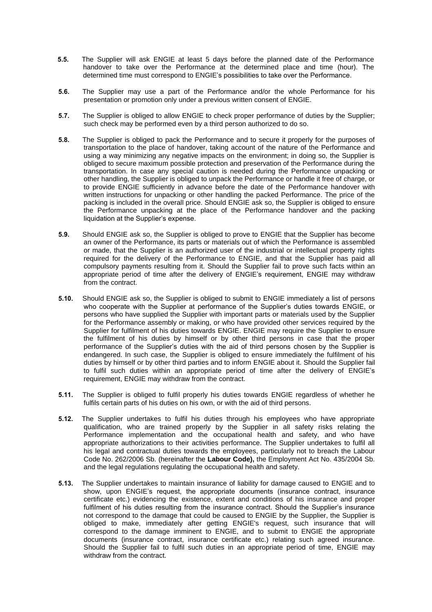- **5.5.** The Supplier will ask ENGIE at least 5 days before the planned date of the Performance handover to take over the Performance at the determined place and time (hour). The determined time must correspond to ENGIE's possibilities to take over the Performance.
- **5.6.** The Supplier may use a part of the Performance and/or the whole Performance for his presentation or promotion only under a previous written consent of ENGIE.
- **5.7.** The Supplier is obliged to allow ENGIE to check proper performance of duties by the Supplier; such check may be performed even by a third person authorized to do so.
- **5.8.** The Supplier is obliged to pack the Performance and to secure it properly for the purposes of transportation to the place of handover, taking account of the nature of the Performance and using a way minimizing any negative impacts on the environment; in doing so, the Supplier is obliged to secure maximum possible protection and preservation of the Performance during the transportation. In case any special caution is needed during the Performance unpacking or other handling, the Supplier is obliged to unpack the Performance or handle it free of charge, or to provide ENGIE sufficiently in advance before the date of the Performance handover with written instructions for unpacking or other handling the packed Performance. The price of the packing is included in the overall price. Should ENGIE ask so, the Supplier is obliged to ensure the Performance unpacking at the place of the Performance handover and the packing liquidation at the Supplier's expense.
- **5.9.** Should ENGIE ask so, the Supplier is obliged to prove to ENGIE that the Supplier has become an owner of the Performance, its parts or materials out of which the Performance is assembled or made, that the Supplier is an authorized user of the industrial or intellectual property rights required for the delivery of the Performance to ENGIE, and that the Supplier has paid all compulsory payments resulting from it. Should the Supplier fail to prove such facts within an appropriate period of time after the delivery of ENGIE's requirement, ENGIE may withdraw from the contract.
- **5.10.** Should ENGIE ask so, the Supplier is obliged to submit to ENGIE immediately a list of persons who cooperate with the Supplier at performance of the Supplier's duties towards ENGIE, or persons who have supplied the Supplier with important parts or materials used by the Supplier for the Performance assembly or making, or who have provided other services required by the Supplier for fulfilment of his duties towards ENGIE. ENGIE may require the Supplier to ensure the fulfilment of his duties by himself or by other third persons in case that the proper performance of the Supplier's duties with the aid of third persons chosen by the Supplier is endangered. In such case, the Supplier is obliged to ensure immediately the fulfilment of his duties by himself or by other third parties and to inform ENGIE about it. Should the Supplier fail to fulfil such duties within an appropriate period of time after the delivery of ENGIE's requirement, ENGIE may withdraw from the contract.
- **5.11.** The Supplier is obliged to fulfil properly his duties towards ENGIE regardless of whether he fulfils certain parts of his duties on his own, or with the aid of third persons.
- **5.12.** The Supplier undertakes to fulfil his duties through his employees who have appropriate qualification, who are trained properly by the Supplier in all safety risks relating the Performance implementation and the occupational health and safety, and who have appropriate authorizations to their activities performance. The Supplier undertakes to fulfil all his legal and contractual duties towards the employees, particularly not to breach the Labour Code No. 262/2006 Sb. (hereinafter the **Labour Code),** the Employment Act No. 435/2004 Sb. and the legal regulations regulating the occupational health and safety.
- **5.13.** The Supplier undertakes to maintain insurance of liability for damage caused to ENGIE and to show, upon ENGIE's request, the appropriate documents (insurance contract, insurance certificate etc.) evidencing the existence, extent and conditions of his insurance and proper fulfilment of his duties resulting from the insurance contract. Should the Supplier's insurance not correspond to the damage that could be caused to ENGIE by the Supplier, the Supplier is obliged to make, immediately after getting ENGIE's request, such insurance that will correspond to the damage imminent to ENGIE, and to submit to ENGIE the appropriate documents (insurance contract, insurance certificate etc.) relating such agreed insurance. Should the Supplier fail to fulfil such duties in an appropriate period of time, ENGIE may withdraw from the contract.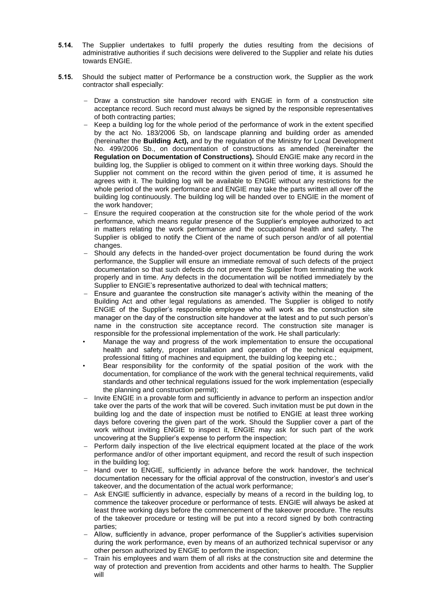- **5.14.** The Supplier undertakes to fulfil properly the duties resulting from the decisions of administrative authorities if such decisions were delivered to the Supplier and relate his duties towards ENGIE.
- **5.15.** Should the subject matter of Performance be a construction work, the Supplier as the work contractor shall especially:
	- Draw a construction site handover record with ENGIE in form of a construction site acceptance record. Such record must always be signed by the responsible representatives of both contracting parties;
	- $-$  Keep a building log for the whole period of the performance of work in the extent specified by the act No. 183/2006 Sb, on landscape planning and building order as amended (hereinafter the **Building Act),** and by the regulation of the Ministry for Local Development No. 499/2006 Sb., on documentation of constructions as amended (hereinafter the **Regulation on Documentation of Constructions).** Should ENGIE make any record in the building log, the Supplier is obliged to comment on it within three working days. Should the Supplier not comment on the record within the given period of time, it is assumed he agrees with it. The building log will be available to ENGIE without any restrictions for the whole period of the work performance and ENGIE may take the parts written all over off the building log continuously. The building log will be handed over to ENGIE in the moment of the work handover;
	- Ensure the required cooperation at the construction site for the whole period of the work performance, which means regular presence of the Supplier's employee authorized to act in matters relating the work performance and the occupational health and safety. The Supplier is obliged to notify the Client of the name of such person and/or of all potential changes.
	- Should any defects in the handed-over project documentation be found during the work performance, the Supplier will ensure an immediate removal of such defects of the project documentation so that such defects do not prevent the Supplier from terminating the work properly and in time. Any defects in the documentation will be notified immediately by the Supplier to ENGIE's representative authorized to deal with technical matters;
	- Ensure and guarantee the construction site manager's activity within the meaning of the Building Act and other legal regulations as amended. The Supplier is obliged to notify ENGIE of the Supplier's responsible employee who will work as the construction site manager on the day of the construction site handover at the latest and to put such person's name in the construction site acceptance record. The construction site manager is responsible for the professional implementation of the work. He shall particularly:
	- Manage the way and progress of the work implementation to ensure the occupational health and safety, proper installation and operation of the technical equipment, professional fitting of machines and equipment, the building log keeping etc.;
	- Bear responsibility for the conformity of the spatial position of the work with the documentation, for compliance of the work with the general technical requirements, valid standards and other technical regulations issued for the work implementation (especially the planning and construction permit);
	- Invite ENGIE in a provable form and sufficiently in advance to perform an inspection and/or take over the parts of the work that will be covered. Such invitation must be put down in the building log and the date of inspection must be notified to ENGIE at least three working days before covering the given part of the work. Should the Supplier cover a part of the work without inviting ENGIE to inspect it, ENGIE may ask for such part of the work uncovering at the Supplier's expense to perform the inspection;
	- Perform daily inspection of the live electrical equipment located at the place of the work performance and/or of other important equipment, and record the result of such inspection in the building log;
	- Hand over to ENGIE, sufficiently in advance before the work handover, the technical documentation necessary for the official approval of the construction, investor's and user's takeover, and the documentation of the actual work performance;
	- Ask ENGIE sufficiently in advance, especially by means of a record in the building log, to commence the takeover procedure or performance of tests. ENGIE will always be asked at least three working days before the commencement of the takeover procedure. The results of the takeover procedure or testing will be put into a record signed by both contracting parties;
	- Allow, sufficiently in advance, proper performance of the Supplier's activities supervision during the work performance, even by means of an authorized technical supervisor or any other person authorized by ENGIE to perform the inspection;
	- Train his employees and warn them of all risks at the construction site and determine the way of protection and prevention from accidents and other harms to health. The Supplier will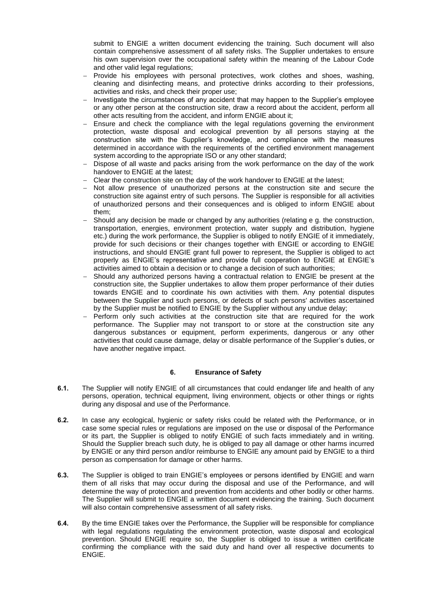submit to ENGIE a written document evidencing the training. Such document will also contain comprehensive assessment of all safety risks. The Supplier undertakes to ensure his own supervision over the occupational safety within the meaning of the Labour Code and other valid legal regulations;

- Provide his employees with personal protectives, work clothes and shoes, washing, cleaning and disinfecting means, and protective drinks according to their professions, activities and risks, and check their proper use;
- Investigate the circumstances of any accident that may happen to the Supplier's employee or any other person at the construction site, draw a record about the accident, perform all other acts resulting from the accident, and inform ENGIE about it;
- Ensure and check the compliance with the legal regulations governing the environment protection, waste disposal and ecological prevention by all persons staying at the construction site with the Supplier's knowledge, and compliance with the measures determined in accordance with the requirements of the certified environment management system according to the appropriate ISO or any other standard;
- Dispose of all waste and packs arising from the work performance on the day of the work handover to ENGIE at the latest;
- Clear the construction site on the day of the work handover to ENGIE at the latest;
- $-$  Not allow presence of unauthorized persons at the construction site and secure the construction site against entry of such persons. The Supplier is responsible for all activities of unauthorized persons and their consequences and is obliged to inform ENGIE about them;
- Should any decision be made or changed by any authorities (relating e g. the construction, transportation, energies, environment protection, water supply and distribution, hygiene etc.) during the work performance, the Supplier is obliged to notify ENGIE of it immediately, provide for such decisions or their changes together with ENGIE or according to ENGIE instructions, and should ENGIE grant full power to represent, the Supplier is obliged to act properly as ENGIE's representative and provide full cooperation to ENGIE at ENGIE's activities aimed to obtain a decision or to change a decision of such authorities;
- Should any authorized persons having a contractual relation to ENGIE be present at the construction site, the Supplier undertakes to allow them proper performance of their duties towards ENGIE and to coordinate his own activities with them. Any potential disputes between the Supplier and such persons, or defects of such persons' activities ascertained by the Supplier must be notified to ENGIE by the Supplier without any undue delay;
- Perform only such activities at the construction site that are required for the work performance. The Supplier may not transport to or store at the construction site any dangerous substances or equipment, perform experiments, dangerous or any other activities that could cause damage, delay or disable performance of the Supplier's duties, or have another negative impact.

## **6. Ensurance of Safety**

- **6.1.** The Supplier will notify ENGIE of all circumstances that could endanger life and health of any persons, operation, technical equipment, living environment, objects or other things or rights during any disposal and use of the Performance.
- **6.2.** In case any ecological, hygienic or safety risks could be related with the Performance, or in case some special rules or regulations are imposed on the use or disposal of the Performance or its part, the Supplier is obliged to notify ENGIE of such facts immediately and in writing. Should the Supplier breach such duty, he is obliged to pay all damage or other harms incurred by ENGIE or any third person and/or reimburse to ENGIE any amount paid by ENGIE to a third person as compensation for damage or other harms.
- **6.3.** The Supplier is obliged to train ENGIE's employees or persons identified by ENGIE and warn them of all risks that may occur during the disposal and use of the Performance, and will determine the way of protection and prevention from accidents and other bodily or other harms. The Supplier will submit to ENGIE a written document evidencing the training. Such document will also contain comprehensive assessment of all safety risks.
- **6.4.** By the time ENGIE takes over the Performance, the Supplier will be responsible for compliance with legal regulations regulating the environment protection, waste disposal and ecological prevention. Should ENGIE require so, the Supplier is obliged to issue a written certificate confirming the compliance with the said duty and hand over all respective documents to ENGIE.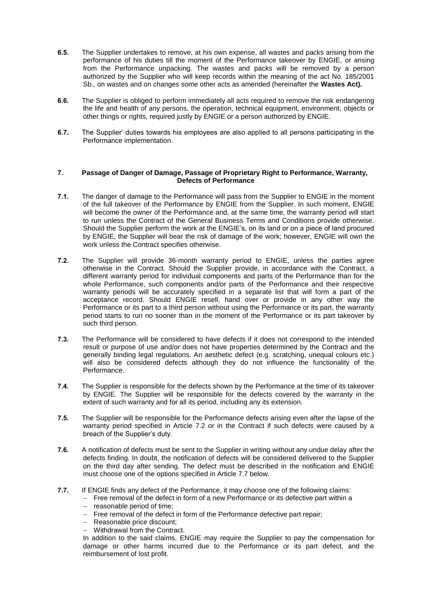- **6.5.** The Supplier undertakes to remove, at his own expense, all wastes and packs arising from the performance of his duties till the moment of the Performance takeover by ENGIE, or arising from the Performance unpacking. The wastes and packs will be removed by a person authorized by the Supplier who will keep records within the meaning of the act No. 185/2001 Sb., on wastes and on changes some other acts as amended (hereinafter the **Wastes Act).**
- **6.6.** The Supplier is obliged to perform immediately all acts required to remove the risk endangering the life and health of any persons, the operation, technical equipment, environment, objects or other things or rights, required justly by ENGIE or a person authorized by ENGIE.
- **6.7.** The Supplier' duties towards his employees are also applied to all persons participating in the Performance implementation.

#### **7. Passage of Danger of Damage, Passage of Proprietary Right to Performance, Warranty, Defects of Performance**

- **7.1.** The danger of damage to the Performance will pass from the Supplier to ENGIE in the moment of the full takeover of the Performance by ENGIE from the Supplier. In such moment, ENGIE will become the owner of the Performance and, at the same time, the warranty period will start to run unless the Contract of the General Business Terms and Conditions provide otherwise. Should the Supplier perform the work at the ENGIE's, on its land or on a piece of land procured by ENGIE, the Supplier will bear the risk of damage of the work; however, ENGIE will own the work unless the Contract specifies otherwise.
- **7.2.** The Supplier will provide 36-month warranty period to ENGIE, unless the parties agree otherwise in the Contract. Should the Supplier provide, in accordance with the Contract, a different warranty period for individual components and parts of the Performance than for the whole Performance, such components and/or parts of the Performance and their respective warranty periods will be accurately specified in a separate list that will form a part of the acceptance record. Should ENGIE resell, hand over or provide in any other way the Performance or its part to a third person without using the Performance or its part, the warranty period starts to run no sooner than in the moment of the Performance or its part takeover by such third person.
- **7.3.** The Performance will be considered to have defects if it does not correspond to the intended result or purpose of use and/or does not have properties determined by the Contract and the generally binding legal regulations. An aesthetic defect (e.g. scratching, unequal colours etc.) will also be considered defects although they do not influence the functionality of the Performance.
- **7.4.** The Supplier is responsible for the defects shown by the Performance at the time of its takeover by ENGIE. The Supplier will be responsible for the defects covered by the warranty in the extent of such warranty and for all its period, including any its extension.
- **7.5.** The Supplier will be responsible for the Performance defects arising even after the lapse of the warranty period specified in Article 7.2 or in the Contract if such defects were caused by a breach of the Supplier's duty.
- **7.6.** A notification of defects must be sent to the Supplier in writing without any undue delay after the defects finding. In doubt, the notification of defects will be considered delivered to the Supplier on the third day after sending. The defect must be described in the notification and ENGIE must choose one of the options specified in Article 7.7 below.
- **7.7.** If ENGIE finds any defect of the Performance, it may choose one of the following claims:
	- Free removal of the defect in form of a new Performance or its defective part within a
	- reasonable period of time:
	- Free removal of the defect in form of the Performance defective part repair:
	- Reasonable price discount;
	- Withdrawal from the Contract.

In addition to the said claims, ENGIE may require the Supplier to pay the compensation for damage or other harms incurred due to the Performance or its part defect, and the reimbursement of lost profit.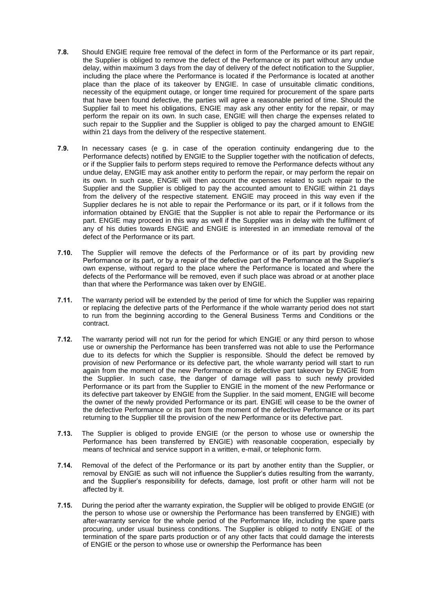- **7.8.** Should ENGIE require free removal of the defect in form of the Performance or its part repair, the Supplier is obliged to remove the defect of the Performance or its part without any undue delay, within maximum 3 days from the day of delivery of the defect notification to the Supplier, including the place where the Performance is located if the Performance is located at another place than the place of its takeover by ENGIE. In case of unsuitable climatic conditions, necessity of the equipment outage, or longer time required for procurement of the spare parts that have been found defective, the parties will agree a reasonable period of time. Should the Supplier fail to meet his obligations, ENGIE may ask any other entity for the repair, or may perform the repair on its own. In such case, ENGIE will then charge the expenses related to such repair to the Supplier and the Supplier is obliged to pay the charged amount to ENGIE within 21 days from the delivery of the respective statement.
- **7.9.** In necessary cases (e g. in case of the operation continuity endangering due to the Performance defects) notified by ENGIE to the Supplier together with the notification of defects, or if the Supplier fails to perform steps required to remove the Performance defects without any undue delay, ENGIE may ask another entity to perform the repair, or may perform the repair on its own. In such case, ENGIE will then account the expenses related to such repair to the Supplier and the Supplier is obliged to pay the accounted amount to ENGIE within 21 days from the delivery of the respective statement. ENGIE may proceed in this way even if the Supplier declares he is not able to repair the Performance or its part, or if it follows from the information obtained by ENGIE that the Supplier is not able to repair the Performance or its part. ENGIE may proceed in this way as well if the Supplier was in delay with the fulfilment of any of his duties towards ENGIE and ENGIE is interested in an immediate removal of the defect of the Performance or its part.
- **7.10.** The Supplier will remove the defects of the Performance or of its part by providing new Performance or its part, or by a repair of the defective part of the Performance at the Supplier's own expense, without regard to the place where the Performance is located and where the defects of the Performance will be removed, even if such place was abroad or at another place than that where the Performance was taken over by ENGIE.
- **7.11.** The warranty period will be extended by the period of time for which the Supplier was repairing or replacing the defective parts of the Performance if the whole warranty period does not start to run from the beginning according to the General Business Terms and Conditions or the contract.
- **7.12.** The warranty period will not run for the period for which ENGIE or any third person to whose use or ownership the Performance has been transferred was not able to use the Performance due to its defects for which the Supplier is responsible. Should the defect be removed by provision of new Performance or its defective part, the whole warranty period will start to run again from the moment of the new Performance or its defective part takeover by ENGIE from the Supplier. In such case, the danger of damage will pass to such newly provided Performance or its part from the Supplier to ENGIE in the moment of the new Performance or its defective part takeover by ENGIE from the Supplier. In the said moment, ENGIE will become the owner of the newly provided Performance or its part. ENGIE will cease to be the owner of the defective Performance or its part from the moment of the defective Performance or its part returning to the Supplier till the provision of the new Performance or its defective part.
- **7.13.** The Supplier is obliged to provide ENGIE (or the person to whose use or ownership the Performance has been transferred by ENGIE) with reasonable cooperation, especially by means of technical and service support in a written, e-mail, or telephonic form.
- **7.14.** Removal of the defect of the Performance or its part by another entity than the Supplier, or removal by ENGIE as such will not influence the Supplier's duties resulting from the warranty, and the Supplier's responsibility for defects, damage, lost profit or other harm will not be affected by it.
- **7.15.** During the period after the warranty expiration, the Supplier will be obliged to provide ENGIE (or the person to whose use or ownership the Performance has been transferred by ENGIE) with after-warranty service for the whole period of the Performance life, including the spare parts procuring, under usual business conditions. The Supplier is obliged to notify ENGIE of the termination of the spare parts production or of any other facts that could damage the interests of ENGIE or the person to whose use or ownership the Performance has been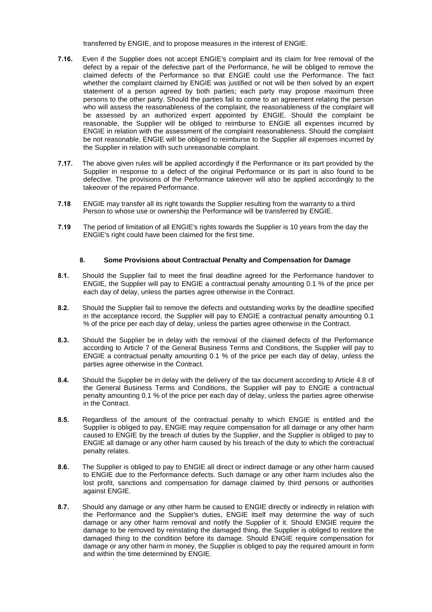transferred by ENGIE, and to propose measures in the interest of ENGIE.

- **7.16.** Even if the Supplier does not accept ENGIE's complaint and its claim for free removal of the defect by a repair of the defective part of the Performance, he will be obliged to remove the claimed defects of the Performance so that ENGIE could use the Performance. The fact whether the complaint claimed by ENGIE was justified or not will be then solved by an expert statement of a person agreed by both parties; each party may propose maximum three persons to the other party. Should the parties fail to come to an agreement relating the person who will assess the reasonableness of the complaint, the reasonableness of the complaint will be assessed by an authorized expert appointed by ENGIE. Should the complaint be reasonable, the Supplier will be obliged to reimburse to ENGIE all expenses incurred by ENGIE in relation with the assessment of the complaint reasonableness. Should the complaint be not reasonable, ENGIE will be obliged to reimburse to the Supplier all expenses incurred by the Supplier in relation with such unreasonable complaint.
- **7.17.** The above given rules will be applied accordingly if the Performance or its part provided by the Supplier in response to a defect of the original Performance or its part is also found to be defective. The provisions of the Performance takeover will also be applied accordingly to the takeover of the repaired Performance.
- **7.18** ENGIE may transfer all its right towards the Supplier resulting from the warranty to a third Person to whose use or ownership the Performance will be transferred by ENGIE.
- **7.19** The period of limitation of all ENGIE's rights towards the Supplier is 10 years from the day the ENGIE's right could have been claimed for the first time.

## **8. Some Provisions about Contractual Penalty and Compensation for Damage**

- **8.1.** Should the Supplier fail to meet the final deadline agreed for the Performance handover to ENGIE, the Supplier will pay to ENGIE a contractual penalty amounting 0.1 % of the price per each day of delay, unless the parties agree otherwise in the Contract.
- **8.2.** Should the Supplier fail to remove the defects and outstanding works by the deadline specified in the acceptance record, the Supplier will pay to ENGIE a contractual penalty amounting 0.1 % of the price per each day of delay, unless the parties agree otherwise in the Contract.
- **8.3.** Should the Supplier be in delay with the removal of the claimed defects of the Performance according to Article 7 of the General Business Terms and Conditions, the Supplier will pay to ENGIE a contractual penalty amounting 0.1 % of the price per each day of delay, unless the parties agree otherwise in the Contract.
- **8.4.** Should the Supplier be in delay with the delivery of the tax document according to Article 4.8 of the General Business Terms and Conditions, the Supplier will pay to ENGIE a contractual penalty amounting 0.1 % of the price per each day of delay, unless the parties agree otherwise in the Contract.
- **8.5.** Regardless of the amount of the contractual penalty to which ENGIE is entitled and the Supplier is obliged to pay, ENGIE may require compensation for all damage or any other harm caused to ENGIE by the breach of duties by the Supplier, and the Supplier is obliged to pay to ENGIE all damage or any other harm caused by his breach of the duty to which the contractual penalty relates.
- **8.6.** The Supplier is obliged to pay to ENGIE all direct or indirect damage or any other harm caused to ENGIE due to the Performance defects. Such damage or any other harm includes also the lost profit, sanctions and compensation for damage claimed by third persons or authorities against ENGIE.
- **8.7.** Should any damage or any other harm be caused to ENGIE directly or indirectly in relation with the Performance and the Supplier's duties, ENGIE itself may determine the way of such damage or any other harm removal and notify the Supplier of it. Should ENGIE require the damage to be removed by reinstating the damaged thing, the Supplier is obliged to restore the damaged thing to the condition before its damage. Should ENGIE require compensation for damage or any other harm in money, the Supplier is obliged to pay the required amount in form and within the time determined by ENGIE.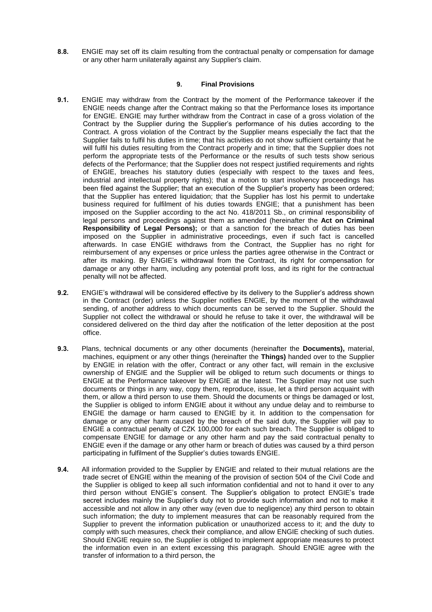**8.8.** ENGIE may set off its claim resulting from the contractual penalty or compensation for damage or any other harm unilaterally against any Supplier's claim.

# **9. Final Provisions**

- **9.1.** ENGIE may withdraw from the Contract by the moment of the Performance takeover if the ENGIE needs change after the Contract making so that the Performance loses its importance for ENGIE. ENGIE may further withdraw from the Contract in case of a gross violation of the Contract by the Supplier during the Supplier's performance of his duties according to the Contract. A gross violation of the Contract by the Supplier means especially the fact that the Supplier fails to fulfil his duties in time; that his activities do not show sufficient certainty that he will fulfil his duties resulting from the Contract properly and in time; that the Supplier does not perform the appropriate tests of the Performance or the results of such tests show serious defects of the Performance; that the Supplier does not respect justified requirements and rights of ENGIE, breaches his statutory duties (especially with respect to the taxes and fees, industrial and intellectual property rights); that a motion to start insolvency proceedings has been filed against the Supplier; that an execution of the Supplier's property has been ordered; that the Supplier has entered liquidation; that the Supplier has lost his permit to undertake business required for fulfilment of his duties towards ENGIE; that a punishment has been imposed on the Supplier according to the act No. 418/2011 Sb., on criminal responsibility of legal persons and proceedings against them as amended (hereinafter the **Act on Criminal Responsibility of Legal Persons);** or that a sanction for the breach of duties has been imposed on the Supplier in administrative proceedings, even if such fact is cancelled afterwards. In case ENGIE withdraws from the Contract, the Supplier has no right for reimbursement of any expenses or price unless the parties agree otherwise in the Contract or after its making. By ENGIE's withdrawal from the Contract, its right for compensation for damage or any other harm, including any potential profit loss, and its right for the contractual penalty will not be affected.
- **9.2.** ENGIE's withdrawal will be considered effective by its delivery to the Supplier's address shown in the Contract (order) unless the Supplier notifies ENGIE, by the moment of the withdrawal sending, of another address to which documents can be served to the Supplier. Should the Supplier not collect the withdrawal or should he refuse to take it over, the withdrawal will be considered delivered on the third day after the notification of the letter deposition at the post office.
- **9.3.** Plans, technical documents or any other documents (hereinafter the **Documents),** material, machines, equipment or any other things (hereinafter the **Things)** handed over to the Supplier by ENGIE in relation with the offer, Contract or any other fact, will remain in the exclusive ownership of ENGIE and the Supplier will be obliged to return such documents or things to ENGIE at the Performance takeover by ENGIE at the latest. The Supplier may not use such documents or things in any way, copy them, reproduce, issue, let a third person acquaint with them, or allow a third person to use them. Should the documents or things be damaged or lost, the Supplier is obliged to inform ENGIE about it without any undue delay and to reimburse to ENGIE the damage or harm caused to ENGIE by it. In addition to the compensation for damage or any other harm caused by the breach of the said duty, the Supplier will pay to ENGIE a contractual penalty of CZK 100,000 for each such breach. The Supplier is obliged to compensate ENGIE for damage or any other harm and pay the said contractual penalty to ENGIE even if the damage or any other harm or breach of duties was caused by a third person participating in fulfilment of the Supplier's duties towards ENGIE.
- **9.4.** All information provided to the Supplier by ENGIE and related to their mutual relations are the trade secret of ENGIE within the meaning of the provision of section 504 of the Civil Code and the Supplier is obliged to keep all such information confidential and not to hand it over to any third person without ENGIE's consent. The Supplier's obligation to protect ENGIE's trade secret includes mainly the Supplier's duty not to provide such information and not to make it accessible and not allow in any other way (even due to negligence) any third person to obtain such information; the duty to implement measures that can be reasonably required from the Supplier to prevent the information publication or unauthorized access to it; and the duty to comply with such measures, check their compliance, and allow ENGIE checking of such duties. Should ENGIE require so, the Supplier is obliged to implement appropriate measures to protect the information even in an extent excessing this paragraph. Should ENGIE agree with the transfer of information to a third person, the